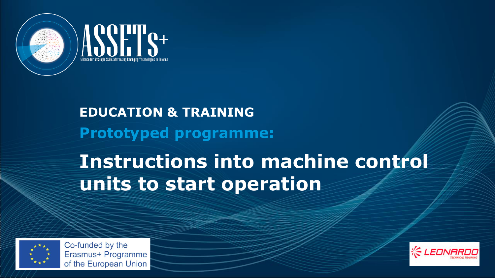

# **Prototyped programme: EDUCATION & TRAINING**

# **Instructions into machine control units to start operation**



Co-funded by the Erasmus+ Programme of the European Union

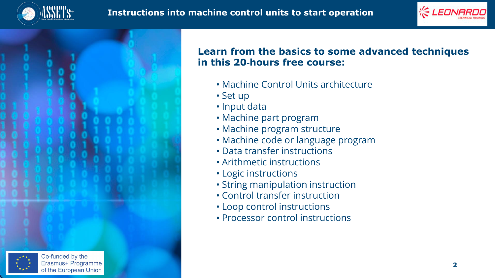





## **Learn from the basics to some advanced techniques in this 20**‐**hours free course:**

- Machine Control Units architecture
- Set up
- Input data
- Machine part program
- Machine program structure
- Machine code or language program
- Data transfer instructions
- Arithmetic instructions
- Logic instructions
- String manipulation instruction
- Control transfer instruction
- Loop control instructions
- Processor control instructions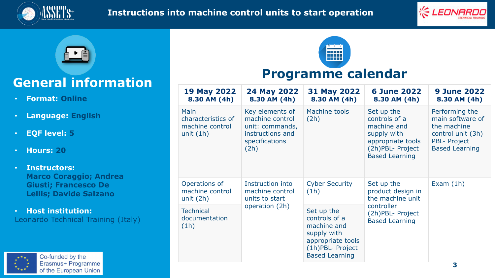





# **General information**

- **Format: Online**
- **Language: English**
- **EQF level: 5**
- **Hours: 20**
- **Instructors: Marco Coraggio; Andrea Giusti; Francesco De Lellis; Davide Salzano**

• **Host institution:** Leonardo Technical Training (Italy)

| Programme calendar                                           |                                                                                                     |                                                                                                                             |                                                                                                                              |                                                                                                                        |
|--------------------------------------------------------------|-----------------------------------------------------------------------------------------------------|-----------------------------------------------------------------------------------------------------------------------------|------------------------------------------------------------------------------------------------------------------------------|------------------------------------------------------------------------------------------------------------------------|
| <b>19 May 2022</b><br>8.30 AM (4h)                           | 24 May 2022<br>8.30 AM (4h)                                                                         | 31 May 2022<br>8.30 AM (4h)                                                                                                 | <b>6 June 2022</b><br>8.30 AM (4h)                                                                                           | <b>9 June 2022</b><br>8.30 AM (4h)                                                                                     |
| Main<br>characteristics of<br>machine control<br>unit $(1h)$ | Key elements of<br>machine control<br>unit: commands,<br>instructions and<br>specifications<br>(2h) | Machine tools<br>(2h)                                                                                                       | Set up the<br>controls of a<br>machine and<br>supply with<br>appropriate tools<br>(2h) PBL- Project<br><b>Based Learning</b> | Performing the<br>main software of<br>the machine<br>control unit (3h)<br><b>PBL- Project</b><br><b>Based Learning</b> |
| Operations of<br>machine control<br>unit $(2h)$              | Instruction into<br>machine control<br>units to start<br>operation (2h)                             | <b>Cyber Security</b><br>(1h)                                                                                               | Set up the<br>product design in<br>the machine unit<br>controller<br>(2h)PBL- Project<br><b>Based Learning</b>               | Exam $(1h)$                                                                                                            |
| <b>Technical</b><br>documentation<br>(1h)                    |                                                                                                     | Set up the<br>controls of a<br>machine and<br>supply with<br>appropriate tools<br>(1h)PBL- Project<br><b>Based Learning</b> |                                                                                                                              |                                                                                                                        |

<u>a ka</u> **Hill**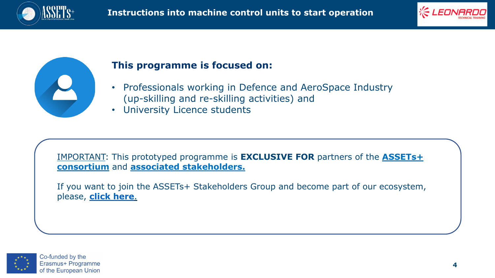





### **This programme is focused on:**

- Professionals working in Defence and AeroSpace Industry (up-skilling and re-skilling activities) and
- University Licence students

[IMPORTANT: This prototyped programme](https://assets-plus.eu/partners/) is **EXCLUSIVE FOR** partners of the **ASSETs+ consortium** and **[associated stakeholders.](https://assets-plus.eu/call-for-associated-stakeholders/)**

If you want to join the ASSETs+ Stakeholders Group and become part of our ecosystem, please, **[click here](https://assets-plus.eu/call-for-associated-stakeholders/)**.

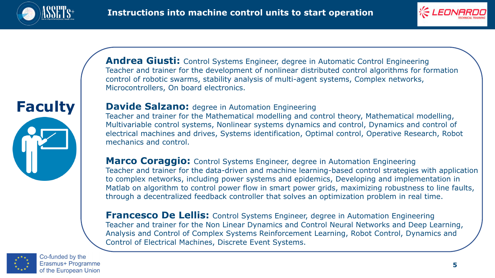





**Andrea Giusti:** Control Systems Engineer, degree in Automatic Control Engineering Teacher and trainer for the development of nonlinear distributed control algorithms for formation control of robotic swarms, stability analysis of multi-agent systems, Complex networks, Microcontrollers, On board electronics.

### **Davide Salzano:** degree in Automation Engineering

Teacher and trainer for the Mathematical modelling and control theory, Mathematical modelling, Multivariable control systems, Nonlinear systems dynamics and control, Dynamics and control of electrical machines and drives, Systems identification, Optimal control, Operative Research, Robot mechanics and control.

**Marco Coraggio:** Control Systems Engineer, degree in Automation Engineering Teacher and trainer for the data-driven and machine learning-based control strategies with application to complex networks, including power systems and epidemics, Developing and implementation in Matlab on algorithm to control power flow in smart power grids, maximizing robustness to line faults, through a decentralized feedback controller that solves an optimization problem in real time.

**Francesco De Lellis:** Control Systems Engineer, degree in Automation Engineering Teacher and trainer for the Non Linear Dynamics and Control Neural Networks and Deep Learning, Analysis and Control of Complex Systems Reinforcement Learning, Robot Control, Dynamics and Control of Electrical Machines, Discrete Event Systems.

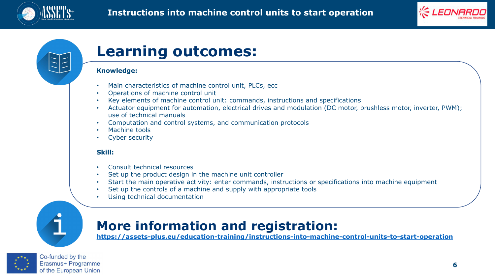



# **Learning outcomes:**

### **Knowledge:**

- Main characteristics of machine control unit, PLCs, ecc
- Operations of machine control unit
- Key elements of machine control unit: commands, instructions and specifications
- Actuator equipment for automation, electrical drives and modulation (DC motor, brushless motor, inverter, PWM): use of technical manuals
- Computation and control systems, and communication protocols
- Machine tools
- Cyber security

### **Skill:**

- Consult technical resources
- Set up the product design in the machine unit controller
- Start the main operative activity: enter commands, instructions or specifications into machine equipment
- Set up the controls of a machine and supply with appropriate tools
- Using technical documentation



# **More information and registration:**

**<https://assets-plus.eu/education-training/instructions-into-machine-control-units-to-start-operation>**



Co-funded by the Erasmus+ Programme of the European Union